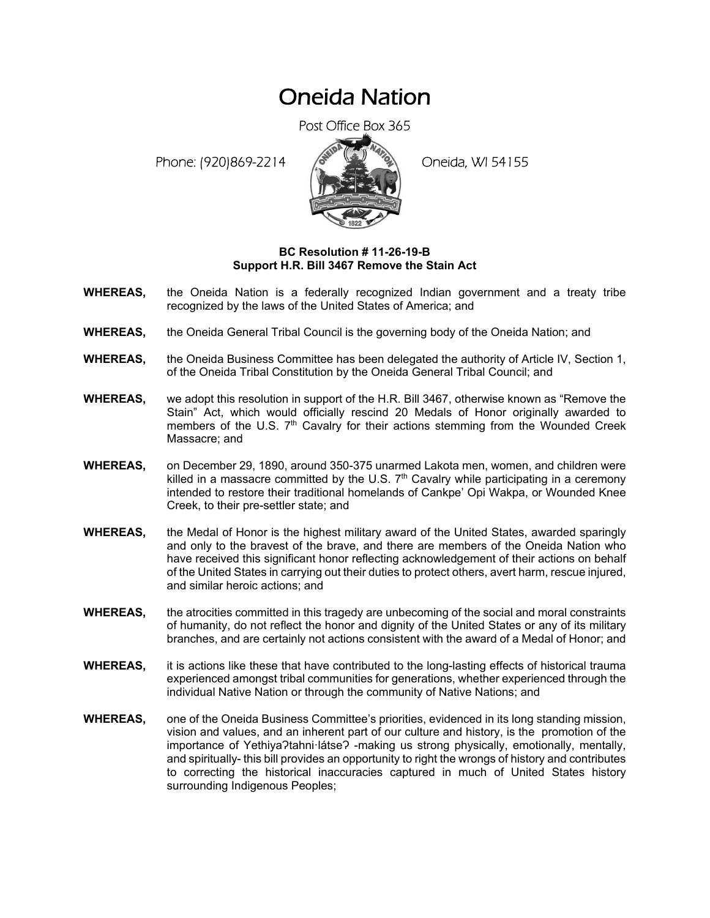## Oneida Nation

Post Office Box 365

Phone: (920)869-2214 (8 April 19) Oneida, WI 54155



## **BC Resolution # 11-26-19-B Support H.R. Bill 3467 Remove the Stain Act**

- **WHEREAS,** the Oneida Nation is a federally recognized Indian government and a treaty tribe recognized by the laws of the United States of America; and
- **WHEREAS,** the Oneida General Tribal Council is the governing body of the Oneida Nation; and
- **WHEREAS,** the Oneida Business Committee has been delegated the authority of Article IV, Section 1, of the Oneida Tribal Constitution by the Oneida General Tribal Council; and
- **WHEREAS,** we adopt this resolution in support of the H.R. Bill 3467, otherwise known as "Remove the Stain" Act, which would officially rescind 20 Medals of Honor originally awarded to members of the U.S.  $7<sup>th</sup>$  Cavalry for their actions stemming from the Wounded Creek Massacre; and
- **WHEREAS,** on December 29, 1890, around 350-375 unarmed Lakota men, women, and children were killed in a massacre committed by the U.S.  $7<sup>th</sup>$  Cavalry while participating in a ceremony intended to restore their traditional homelands of Cankpe' Opi Wakpa, or Wounded Knee Creek, to their pre-settler state; and
- **WHEREAS,** the Medal of Honor is the highest military award of the United States, awarded sparingly and only to the bravest of the brave, and there are members of the Oneida Nation who have received this significant honor reflecting acknowledgement of their actions on behalf of the United States in carrying out their duties to protect others, avert harm, rescue injured, and similar heroic actions; and
- **WHEREAS,** the atrocities committed in this tragedy are unbecoming of the social and moral constraints of humanity, do not reflect the honor and dignity of the United States or any of its military branches, and are certainly not actions consistent with the award of a Medal of Honor; and
- **WHEREAS,** it is actions like these that have contributed to the long-lasting effects of historical trauma experienced amongst tribal communities for generations, whether experienced through the individual Native Nation or through the community of Native Nations; and
- **WHEREAS,** one of the Oneida Business Committee's priorities, evidenced in its long standing mission, vision and values, and an inherent part of our culture and history, is the promotion of the importance of Yethiya?tahni·látse? -making us strong physically, emotionally, mentally, and spiritually- this bill provides an opportunity to right the wrongs of history and contributes to correcting the historical inaccuracies captured in much of United States history surrounding Indigenous Peoples;